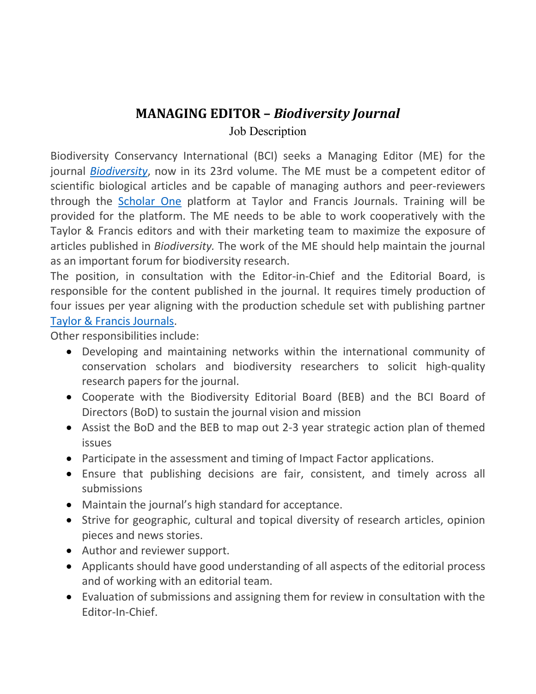# **MANAGING EDITOR –** *Biodiversity Journal*

Job Description

Biodiversity Conservancy International (BCI) seeks a Managing Editor (ME) for the journal *Biodiversity*, now in its 23rd volume. The ME must be a competent editor of scientific biological articles and be capable of managing authors and peer-reviewers through the Scholar One platform at Taylor and Francis Journals. Training will be provided for the platform. The ME needs to be able to work cooperatively with the Taylor & Francis editors and with their marketing team to maximize the exposure of articles published in *Biodiversity.* The work of the ME should help maintain the journal as an important forum for biodiversity research.

The position, in consultation with the Editor-in-Chief and the Editorial Board, is responsible for the content published in the journal. It requires timely production of four issues per year aligning with the production schedule set with publishing partner Taylor & Francis Journals.

Other responsibilities include:

- Developing and maintaining networks within the international community of conservation scholars and biodiversity researchers to solicit high-quality research papers for the journal.
- Cooperate with the Biodiversity Editorial Board (BEB) and the BCI Board of Directors (BoD) to sustain the journal vision and mission
- Assist the BoD and the BEB to map out 2-3 year strategic action plan of themed issues
- Participate in the assessment and timing of Impact Factor applications.
- Ensure that publishing decisions are fair, consistent, and timely across all submissions
- Maintain the journal's high standard for acceptance.
- Strive for geographic, cultural and topical diversity of research articles, opinion pieces and news stories.
- Author and reviewer support.
- Applicants should have good understanding of all aspects of the editorial process and of working with an editorial team.
- Evaluation of submissions and assigning them for review in consultation with the Editor-In-Chief.